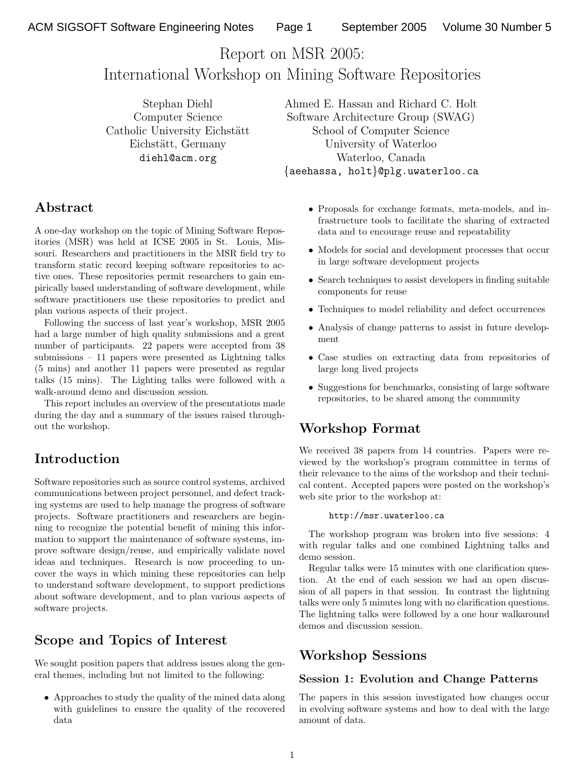# Report on MSR 2005: International Workshop on Mining Software Repositories

Stephan Diehl Computer Science Catholic University Eichstätt Eichstätt, Germany diehl@acm.org

Ahmed E. Hassan and Richard C. Holt Software Architecture Group (SWAG) School of Computer Science University of Waterloo Waterloo, Canada {aeehassa, holt}@plg.uwaterloo.ca

# **Abstract**

A one-day workshop on the topic of Mining Software Repositories (MSR) was held at ICSE 2005 in St. Louis, Missouri. Researchers and practitioners in the MSR field try to transform static record keeping software repositories to active ones. These repositories permit researchers to gain empirically based understanding of software development, while software practitioners use these repositories to predict and plan various aspects of their project.

Following the success of last year's workshop, MSR 2005 had a large number of high quality submissions and a great number of participants. 22 papers were accepted from 38 submissions – 11 papers were presented as Lightning talks (5 mins) and another 11 papers were presented as regular talks (15 mins). The Lighting talks were followed with a walk-around demo and discussion session.

This report includes an overview of the presentations made during the day and a summary of the issues raised throughout the workshop.

# **Introduction**

Software repositories such as source control systems, archived communications between project personnel, and defect tracking systems are used to help manage the progress of software projects. Software practitioners and researchers are beginning to recognize the potential benefit of mining this information to support the maintenance of software systems, improve software design/reuse, and empirically validate novel ideas and techniques. Research is now proceeding to uncover the ways in which mining these repositories can help to understand software development, to support predictions about software development, and to plan various aspects of software projects.

# **Scope and Topics of Interest**

We sought position papers that address issues along the general themes, including but not limited to the following:

• Approaches to study the quality of the mined data along with guidelines to ensure the quality of the recovered data

- Proposals for exchange formats, meta-models, and infrastructure tools to facilitate the sharing of extracted data and to encourage reuse and repeatability
- Models for social and development processes that occur in large software development projects
- Search techniques to assist developers in finding suitable components for reuse
- Techniques to model reliability and defect occurrences
- Analysis of change patterns to assist in future development
- Case studies on extracting data from repositories of large long lived projects
- Suggestions for benchmarks, consisting of large software repositories, to be shared among the community

### **Workshop Format**

We received 38 papers from 14 countries. Papers were reviewed by the workshop's program committee in terms of their relevance to the aims of the workshop and their technical content. Accepted papers were posted on the workshop's web site prior to the workshop at:

http://msr.uwaterloo.ca

The workshop program was broken into five sessions: 4 with regular talks and one combined Lightning talks and demo session.

Regular talks were 15 minutes with one clarification question. At the end of each session we had an open discussion of all papers in that session. In contrast the lightning talks were only 5 minutes long with no clarification questions. The lightning talks were followed by a one hour walkaround demos and discussion session.

### **Workshop Sessions**

#### **Session 1: Evolution and Change Patterns**

The papers in this session investigated how changes occur in evolving software systems and how to deal with the large amount of data.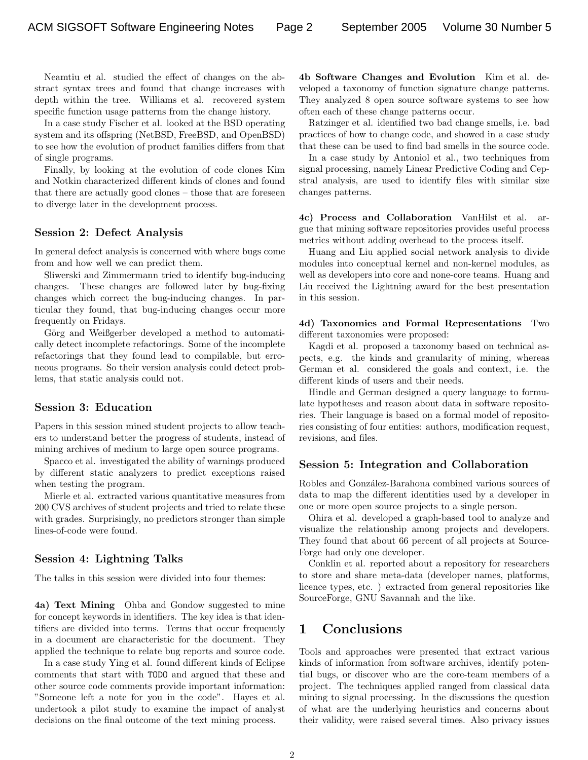Neamtiu et al. studied the effect of changes on the abstract syntax trees and found that change increases with depth within the tree. Williams et al. recovered system specific function usage patterns from the change history.

In a case study Fischer et al. looked at the BSD operating system and its offspring (NetBSD, FreeBSD, and OpenBSD) to see how the evolution of product families differs from that of single programs.

Finally, by looking at the evolution of code clones Kim and Notkin characterized different kinds of clones and found that there are actually good clones – those that are foreseen to diverge later in the development process.

#### **Session 2: Defect Analysis**

In general defect analysis is concerned with where bugs come from and how well we can predict them.

Sliwerski and Zimmermann tried to identify bug-inducing changes. These changes are followed later by bug-fixing changes which correct the bug-inducing changes. In particular they found, that bug-inducing changes occur more frequently on Fridays.

Görg and Weißgerber developed a method to automatically detect incomplete refactorings. Some of the incomplete refactorings that they found lead to compilable, but erroneous programs. So their version analysis could detect problems, that static analysis could not.

#### **Session 3: Education**

Papers in this session mined student projects to allow teachers to understand better the progress of students, instead of mining archives of medium to large open source programs.

Spacco et al. investigated the ability of warnings produced by different static analyzers to predict exceptions raised when testing the program.

Mierle et al. extracted various quantitative measures from 200 CVS archives of student projects and tried to relate these with grades. Surprisingly, no predictors stronger than simple lines-of-code were found.

#### **Session 4: Lightning Talks**

The talks in this session were divided into four themes:

**4a) Text Mining** Ohba and Gondow suggested to mine for concept keywords in identifiers. The key idea is that identifiers are divided into terms. Terms that occur frequently in a document are characteristic for the document. They applied the technique to relate bug reports and source code.

In a case study Ying et al. found different kinds of Eclipse comments that start with TODO and argued that these and other source code comments provide important information: "Someone left a note for you in the code". Hayes et al. undertook a pilot study to examine the impact of analyst decisions on the final outcome of the text mining process.

**4b Software Changes and Evolution** Kim et al. developed a taxonomy of function signature change patterns. They analyzed 8 open source software systems to see how often each of these change patterns occur.

Ratzinger et al. identified two bad change smells, i.e. bad practices of how to change code, and showed in a case study that these can be used to find bad smells in the source code.

In a case study by Antoniol et al., two techniques from signal processing, namely Linear Predictive Coding and Cepstral analysis, are used to identify files with similar size changes patterns.

**4c) Process and Collaboration** VanHilst et al. argue that mining software repositories provides useful process metrics without adding overhead to the process itself.

Huang and Liu applied social network analysis to divide modules into conceptual kernel and non-kernel modules, as well as developers into core and none-core teams. Huang and Liu received the Lightning award for the best presentation in this session.

**4d) Taxonomies and Formal Representations** Two different taxonomies were proposed:

Kagdi et al. proposed a taxonomy based on technical aspects, e.g. the kinds and granularity of mining, whereas German et al. considered the goals and context, i.e. the different kinds of users and their needs.

Hindle and German designed a query language to formulate hypotheses and reason about data in software repositories. Their language is based on a formal model of repositories consisting of four entities: authors, modification request, revisions, and files.

#### **Session 5: Integration and Collaboration**

Robles and González-Barahona combined various sources of data to map the different identities used by a developer in one or more open source projects to a single person.

Ohira et al. developed a graph-based tool to analyze and visualize the relationship among projects and developers. They found that about 66 percent of all projects at Source-Forge had only one developer.

Conklin et al. reported about a repository for researchers to store and share meta-data (developer names, platforms, licence types, etc. ) extracted from general repositories like SourceForge, GNU Savannah and the like.

### **1 Conclusions**

Tools and approaches were presented that extract various kinds of information from software archives, identify potential bugs, or discover who are the core-team members of a project. The techniques applied ranged from classical data mining to signal processing. In the discussions the question of what are the underlying heuristics and concerns about their validity, were raised several times. Also privacy issues